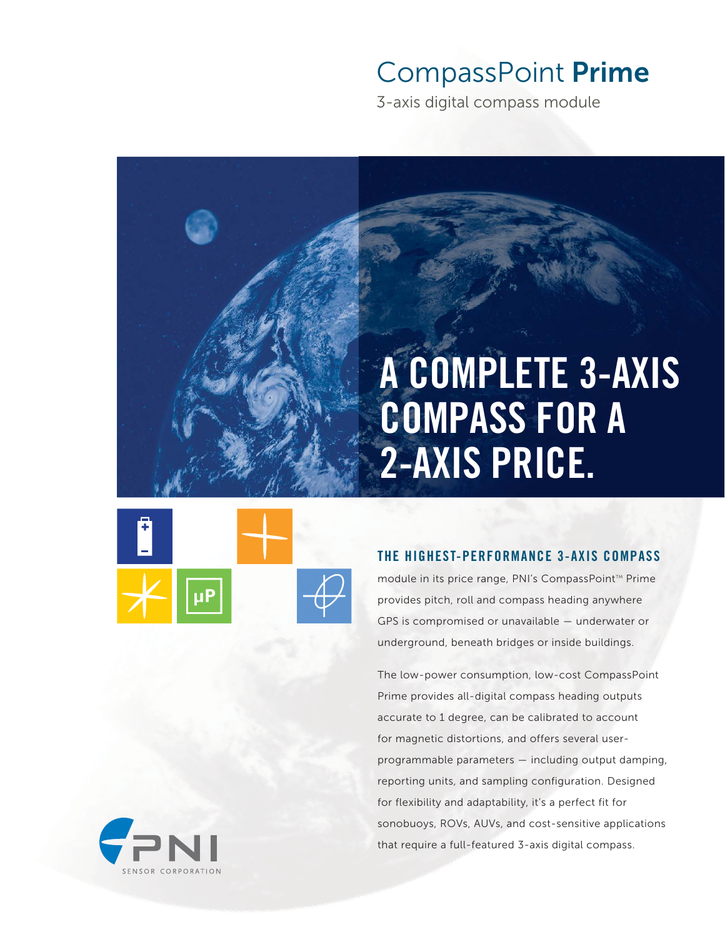# CompassPoint **Prime**

3-axis digital compass module

# A COMPLETE 3-AXIS COMPASS FOR A 2-AXIS PRICE.



### THE HIGHEST-PERFORMANCE 3-AXIS COMPASS

module in its price range, PNI's CompassPoint™ Prime provides pitch, roll and compass heading anywhere GPS is compromised or unavailable — underwater or underground, beneath bridges or inside buildings.

The low-power consumption, low-cost CompassPoint Prime provides all-digital compass heading outputs accurate to 1 degree, can be calibrated to account for magnetic distortions, and offers several userprogrammable parameters — including output damping, reporting units, and sampling configuration. Designed for flexibility and adaptability, it's a perfect fit for sonobuoys, ROVs, AUVs, and cost-sensitive applications that require a full-featured 3-axis digital compass.